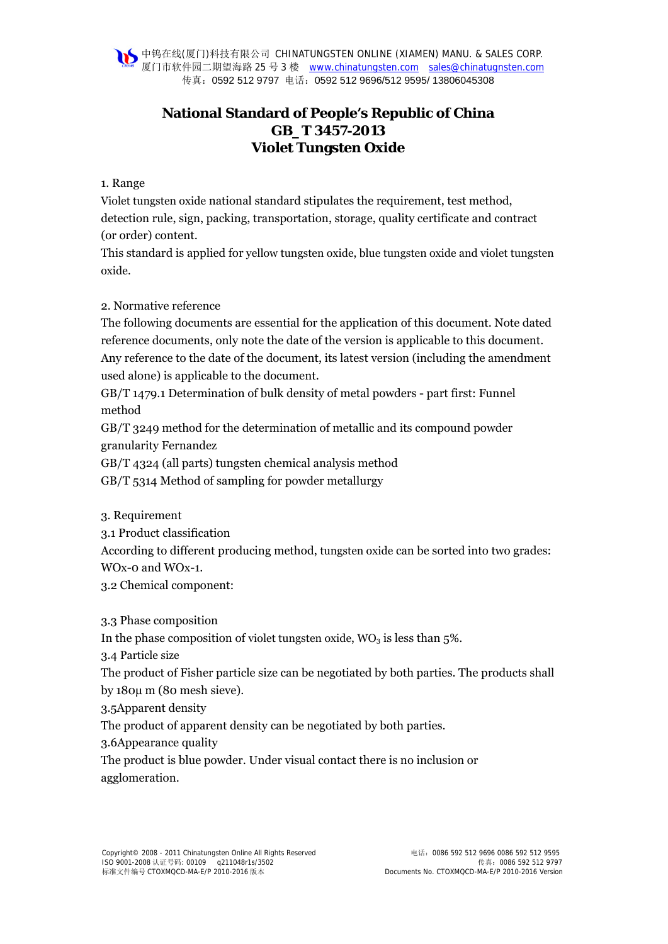**◆中钨在线(厦门)科技有限公司 CHINATUNGSTEN ONLINE (XIAMEN) MANU. & SALES CORP.** 厦门市软件园二期望海路 25 号 3 楼 www.chinatungsten.com sales@chinatugnsten.com 传真:0592 512 9797 电话:0592 512 9696/512 9595/ 13806045308

# **National Standard of People's Republic of China GB\_T 3457-2013 Violet Tungsten Oxide**

#### 1. Range

Violet tungsten oxide national standard stipulates the requirement, test method, detection rule, sign, packing, transportation, storage, quality certificate and contract (or order) content.

This standard is applied for yellow tungsten oxide, blue tungsten oxide and violet tungsten oxide.

### 2. Normative reference

The following documents are essential for the application of this document. Note dated reference documents, only note the date of the version is applicable to this document. Any reference to the date of the document, its latest version (including the amendment used alone) is applicable to the document.

GB/T 1479.1 Determination of bulk density of metal powders - part first: Funnel method

GB/T 3249 method for the determination of metallic and its compound powder granularity Fernandez

GB/T 4324 (all parts) tungsten chemical analysis method

GB/T 5314 Method of sampling for powder metallurgy

3. Requirement

3.1 Product classification

According to different producing method, tungsten oxide can be sorted into two grades:

WOx-0 and WOx-1.

3.2 Chemical component:

3.3 Phase composition

In the phase composition of violet tungsten oxide,  $WO_3$  is less than 5%.

3.4 Particle size

The product of Fisher particle size can be negotiated by both parties. The products shall by 180μ m (80 mesh sieve).

3.5Apparent density

The product of apparent density can be negotiated by both parties.

3.6Appearance quality

The product is blue powder. Under visual contact there is no inclusion or agglomeration.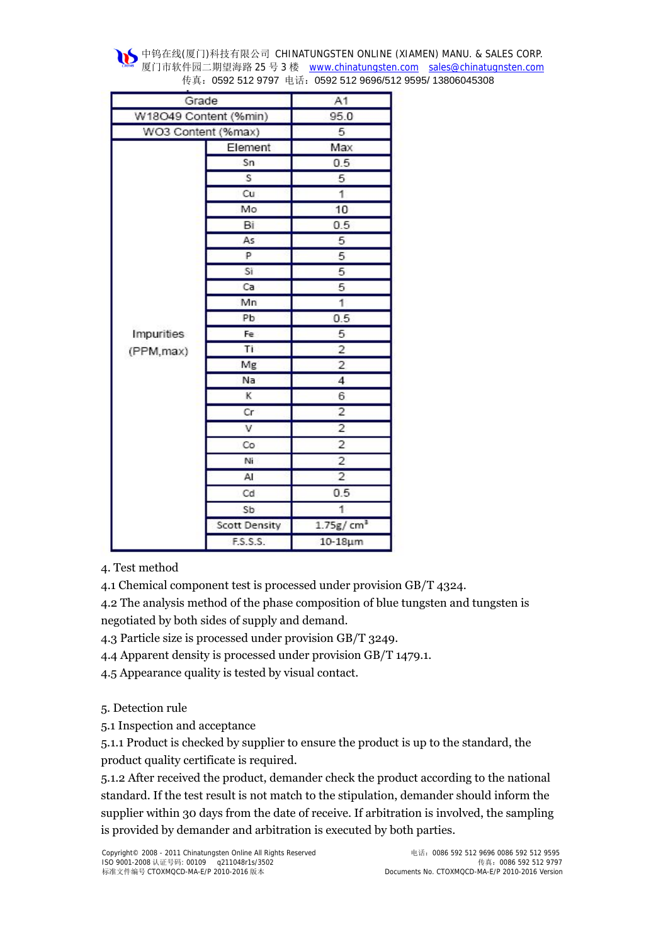**◆中钨在线(厦门)科技有限公司 CHINATUNGSTEN ONLINE (XIAMEN) MANU. & SALES CORP.** 厦门市软件园二期望海路 25 号 3 楼 www.chinatungsten.com sales@chinatugnsten.com 传真:0592 512 9797 电话:0592 512 9696/512 9595/ 13806045308

| Grade                    |                         | A1                    |
|--------------------------|-------------------------|-----------------------|
| W18O49 Content (%min)    |                         | 95.0                  |
| WO3 Content (%max)       |                         | 5                     |
| Impurities<br>(PPM, max) | Element                 | Max                   |
|                          | Sn                      | 0.5                   |
|                          | $\overline{\mathsf{s}}$ | 5                     |
|                          | Cu                      | 1                     |
|                          | Mo                      | 10                    |
|                          | Bi                      | 0.5                   |
|                          | As                      | 5                     |
|                          | P                       | 5                     |
|                          | Sï                      | 5                     |
|                          | Ca                      | 5                     |
|                          | Mn                      | 1                     |
|                          | Pb                      | 0.5                   |
|                          | Fe                      | 5                     |
|                          | Tì                      | 2                     |
|                          | Mg                      | $\overline{2}$        |
|                          | Na                      | $\overline{4}$        |
|                          | ĸ                       | 6                     |
|                          | Cr                      | $\overline{2}$        |
|                          | v                       | $\overline{2}$        |
|                          | Co                      | $\overline{2}$        |
|                          | Ni                      | 2                     |
|                          | AI                      | $\overline{2}$        |
|                          | Cd                      | 0.5                   |
|                          | Sb                      | 1                     |
|                          | <b>Scott Density</b>    | 1.75g/cm <sup>3</sup> |
|                          | F.S.S.S.                | 10-18µm               |

4. Test method

4.1 Chemical component test is processed under provision GB/T 4324.

4.2 The analysis method of the phase composition of blue tungsten and tungsten is negotiated by both sides of supply and demand.

4.3 Particle size is processed under provision GB/T 3249.

4.4 Apparent density is processed under provision GB/T 1479.1.

4.5 Appearance quality is tested by visual contact.

5. Detection rule

5.1 Inspection and acceptance

5.1.1 Product is checked by supplier to ensure the product is up to the standard, the product quality certificate is required.

5.1.2 After received the product, demander check the product according to the national standard. If the test result is not match to the stipulation, demander should inform the supplier within 30 days from the date of receive. If arbitration is involved, the sampling is provided by demander and arbitration is executed by both parties.